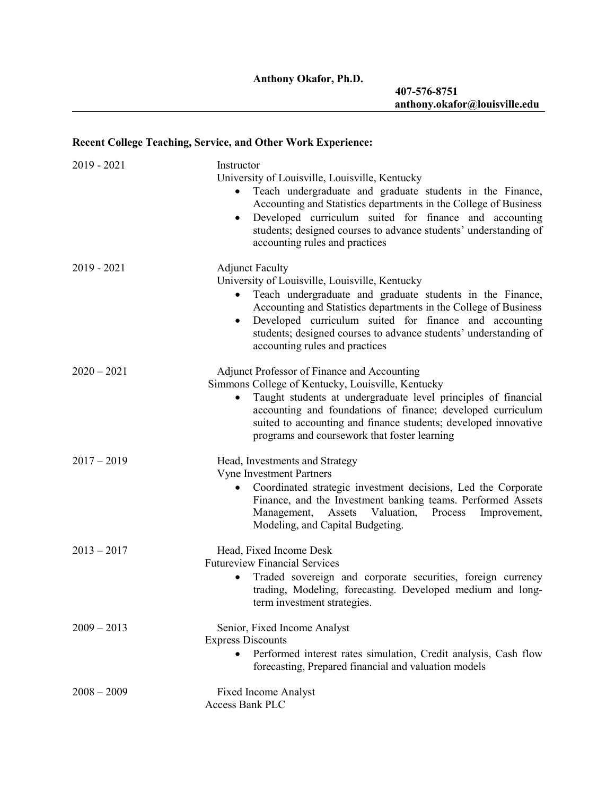# **Recent College Teaching, Service, and Other Work Experience:**

| $2019 - 2021$ | Instructor                                                                                                                                                                                                                                                                                                                                                                                  |  |
|---------------|---------------------------------------------------------------------------------------------------------------------------------------------------------------------------------------------------------------------------------------------------------------------------------------------------------------------------------------------------------------------------------------------|--|
|               | University of Louisville, Louisville, Kentucky<br>Teach undergraduate and graduate students in the Finance,<br>$\bullet$<br>Accounting and Statistics departments in the College of Business<br>Developed curriculum suited for finance and accounting<br>$\bullet$<br>students; designed courses to advance students' understanding of<br>accounting rules and practices                   |  |
| $2019 - 2021$ | <b>Adjunct Faculty</b><br>University of Louisville, Louisville, Kentucky<br>Teach undergraduate and graduate students in the Finance,<br>$\bullet$<br>Accounting and Statistics departments in the College of Business<br>Developed curriculum suited for finance and accounting<br>٠<br>students; designed courses to advance students' understanding of<br>accounting rules and practices |  |
| $2020 - 2021$ | <b>Adjunct Professor of Finance and Accounting</b><br>Simmons College of Kentucky, Louisville, Kentucky<br>Taught students at undergraduate level principles of financial<br>$\bullet$<br>accounting and foundations of finance; developed curriculum<br>suited to accounting and finance students; developed innovative<br>programs and coursework that foster learning                    |  |
| $2017 - 2019$ | Head, Investments and Strategy<br><b>Vyne Investment Partners</b><br>Coordinated strategic investment decisions, Led the Corporate<br>٠<br>Finance, and the Investment banking teams. Performed Assets<br>Management, Assets Valuation,<br>Process<br>Improvement,<br>Modeling, and Capital Budgeting.                                                                                      |  |
| $2013 - 2017$ | Head, Fixed Income Desk<br><b>Futureview Financial Services</b><br>Traded sovereign and corporate securities, foreign currency<br>٠<br>trading, Modeling, forecasting. Developed medium and long-<br>term investment strategies.                                                                                                                                                            |  |
| $2009 - 2013$ | Senior, Fixed Income Analyst<br><b>Express Discounts</b><br>Performed interest rates simulation, Credit analysis, Cash flow<br>forecasting, Prepared financial and valuation models                                                                                                                                                                                                         |  |
| $2008 - 2009$ | <b>Fixed Income Analyst</b><br>Access Bank PLC                                                                                                                                                                                                                                                                                                                                              |  |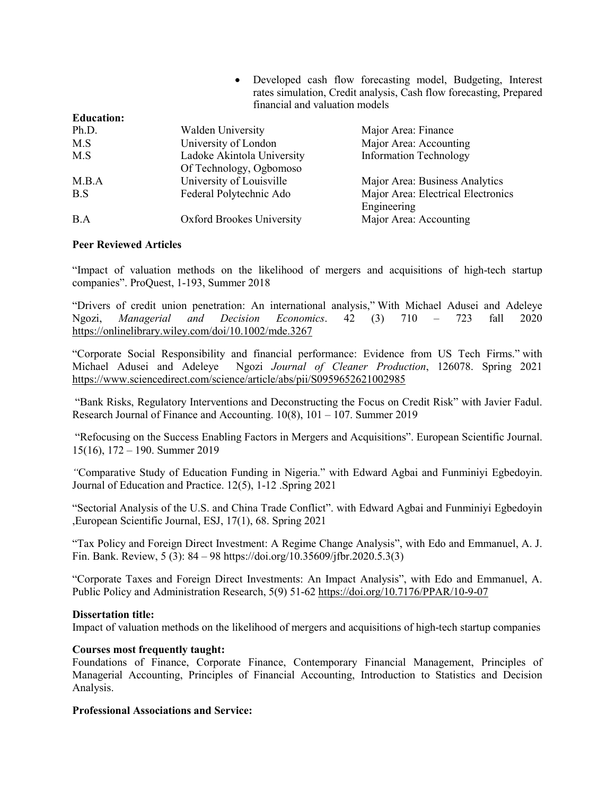| • Developed cash flow forecasting model, Budgeting, Interest       |
|--------------------------------------------------------------------|
| rates simulation, Credit analysis, Cash flow forecasting, Prepared |
| financial and valuation models                                     |

| <b>Education:</b> |                                  |                                    |
|-------------------|----------------------------------|------------------------------------|
| Ph.D.             | <b>Walden University</b>         | Major Area: Finance                |
| M.S               | University of London             | Major Area: Accounting             |
| M.S               | Ladoke Akintola University       | <b>Information Technology</b>      |
|                   | Of Technology, Ogbomoso          |                                    |
| M.B.A             | University of Louisville         | Major Area: Business Analytics     |
| B.S               | Federal Polytechnic Ado          | Major Area: Electrical Electronics |
|                   |                                  | Engineering                        |
| B.A               | <b>Oxford Brookes University</b> | Major Area: Accounting             |

## **Peer Reviewed Articles**

"Impact of valuation methods on the likelihood of mergers and acquisitions of high-tech startup companies". ProQuest, 1-193, Summer 2018

"Drivers of credit union penetration: An international analysis," With Michael Adusei and Adeleye Ngozi, *Managerial and Decision Economics*. 42 (3) 710 – 723 fall 2020 <https://onlinelibrary.wiley.com/doi/10.1002/mde.3267>

"Corporate Social Responsibility and financial performance: Evidence from US Tech Firms." with Michael Adusei and Adeleye Ngozi *Journal of Cleaner Production*, 126078. Spring 2021 <https://www.sciencedirect.com/science/article/abs/pii/S0959652621002985>

"Bank Risks, Regulatory Interventions and Deconstructing the Focus on Credit Risk" with Javier Fadul. Research Journal of Finance and Accounting. 10(8), 101 – 107. Summer 2019

"Refocusing on the Success Enabling Factors in Mergers and Acquisitions". European Scientific Journal. 15(16), 172 – 190. Summer 2019

*"*Comparative Study of Education Funding in Nigeria." with Edward Agbai and Funminiyi Egbedoyin. Journal of Education and Practice. 12(5), 1-12 .Spring 2021

"Sectorial Analysis of the U.S. and China Trade Conflict". with Edward Agbai and Funminiyi Egbedoyin ,European Scientific Journal, ESJ, 17(1), 68. Spring 2021

"Tax Policy and Foreign Direct Investment: A Regime Change Analysis", with Edo and Emmanuel, A. J. Fin. Bank. Review, 5 (3): 84 – 98 [https://doi.org/10.35609/jfbr.2020.5.3\(3\)](https://doi.org/10.35609/jfbr.2020.5.3(3)) 

"Corporate Taxes and Foreign Direct Investments: An Impact Analysis", with Edo and Emmanuel, A. Public Policy and Administration Research, 5(9) 51-62<https://doi.org/10.7176/PPAR/10-9-07>

## **Dissertation title:**

Impact of valuation methods on the likelihood of mergers and acquisitions of high-tech startup companies

## **Courses most frequently taught:**

Foundations of Finance, Corporate Finance, Contemporary Financial Management, Principles of Managerial Accounting, Principles of Financial Accounting, Introduction to Statistics and Decision Analysis.

## **Professional Associations and Service:**